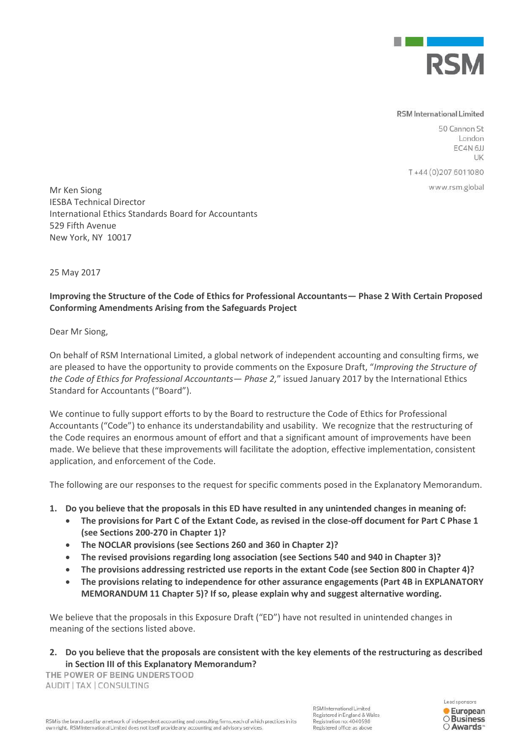

## **RSM** International Limited

50 Cannon St London EC4N<sub>6JJ</sub> LIK

T+44 (0) 207 6011080

www.rsm.global

Mr Ken Siong IESBA Technical Director International Ethics Standards Board for Accountants 529 Fifth Avenue New York, NY 10017

25 May 2017

## **Improving the Structure of the Code of Ethics for Professional Accountants— Phase 2 With Certain Proposed Conforming Amendments Arising from the Safeguards Project**

Dear Mr Siong,

On behalf of RSM International Limited, a global network of independent accounting and consulting firms, we are pleased to have the opportunity to provide comments on the Exposure Draft, "*Improving the Structure of the Code of Ethics for Professional Accountants— Phase 2,*" issued January 2017 by the International Ethics Standard for Accountants ("Board").

We continue to fully support efforts to by the Board to restructure the Code of Ethics for Professional Accountants ("Code") to enhance its understandability and usability. We recognize that the restructuring of the Code requires an enormous amount of effort and that a significant amount of improvements have been made. We believe that these improvements will facilitate the adoption, effective implementation, consistent application, and enforcement of the Code.

The following are our responses to the request for specific comments posed in the Explanatory Memorandum.

- **1. Do you believe that the proposals in this ED have resulted in any unintended changes in meaning of:** 
	- **The provisions for Part C of the Extant Code, as revised in the close-off document for Part C Phase 1 (see Sections 200-270 in Chapter 1)?**
	- **The NOCLAR provisions (see Sections 260 and 360 in Chapter 2)?**
	- **The revised provisions regarding long association (see Sections 540 and 940 in Chapter 3)?**
	- **The provisions addressing restricted use reports in the extant Code (see Section 800 in Chapter 4)?**
	- **The provisions relating to independence for other assurance engagements (Part 4B in EXPLANATORY MEMORANDUM 11 Chapter 5)? If so, please explain why and suggest alternative wording.**

We believe that the proposals in this Exposure Draft ("ED") have not resulted in unintended changes in meaning of the sections listed above.

**2. Do you believe that the proposals are consistent with the key elements of the restructuring as described in Section III of this Explanatory Memorandum?** 

THE POWER OF BEING UNDERSTOOD AUDIT | TAX | CONSULTING

RSM International Limited Registered in England & Wales Registration no: 4040598 Registered office: as above